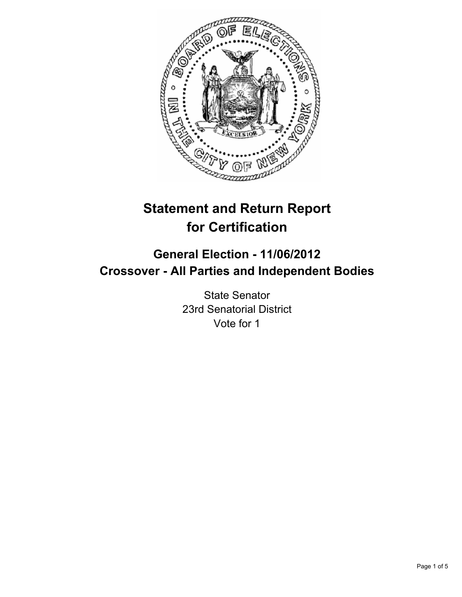

# **Statement and Return Report for Certification**

## **General Election - 11/06/2012 Crossover - All Parties and Independent Bodies**

State Senator 23rd Senatorial District Vote for 1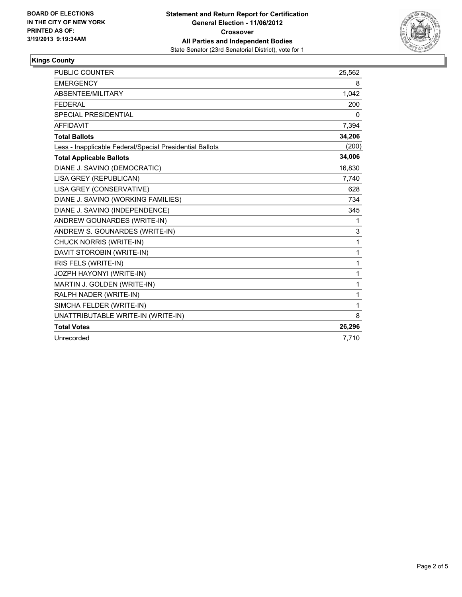

### **Kings County**

| <b>PUBLIC COUNTER</b>                                    | 25,562 |
|----------------------------------------------------------|--------|
| <b>EMERGENCY</b>                                         | 8      |
| <b>ABSENTEE/MILITARY</b>                                 | 1,042  |
| <b>FEDERAL</b>                                           | 200    |
| <b>SPECIAL PRESIDENTIAL</b>                              | 0      |
| <b>AFFIDAVIT</b>                                         | 7,394  |
| <b>Total Ballots</b>                                     | 34,206 |
| Less - Inapplicable Federal/Special Presidential Ballots | (200)  |
| <b>Total Applicable Ballots</b>                          | 34,006 |
| DIANE J. SAVINO (DEMOCRATIC)                             | 16,830 |
| LISA GREY (REPUBLICAN)                                   | 7,740  |
| LISA GREY (CONSERVATIVE)                                 | 628    |
| DIANE J. SAVINO (WORKING FAMILIES)                       | 734    |
| DIANE J. SAVINO (INDEPENDENCE)                           | 345    |
| ANDREW GOUNARDES (WRITE-IN)                              | 1      |
| ANDREW S. GOUNARDES (WRITE-IN)                           | 3      |
| <b>CHUCK NORRIS (WRITE-IN)</b>                           | 1      |
| DAVIT STOROBIN (WRITE-IN)                                | 1      |
| IRIS FELS (WRITE-IN)                                     | 1      |
| JOZPH HAYONYI (WRITE-IN)                                 | 1      |
| MARTIN J. GOLDEN (WRITE-IN)                              | 1      |
| RALPH NADER (WRITE-IN)                                   | 1      |
| SIMCHA FELDER (WRITE-IN)                                 | 1      |
| UNATTRIBUTABLE WRITE-IN (WRITE-IN)                       | 8      |
| <b>Total Votes</b>                                       | 26,296 |
| Unrecorded                                               | 7,710  |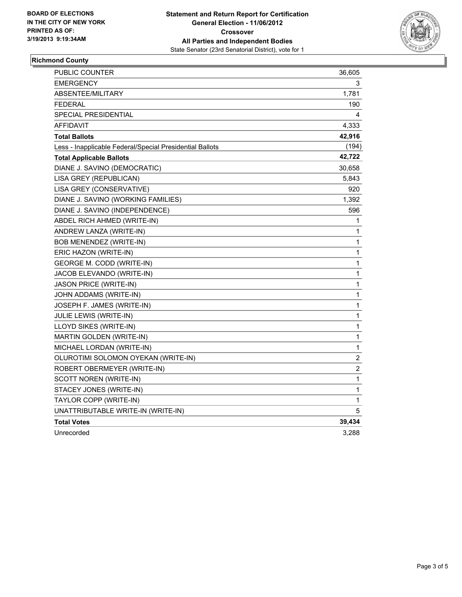

#### **Richmond County**

| <b>PUBLIC COUNTER</b>                                    | 36,605         |
|----------------------------------------------------------|----------------|
| <b>EMERGENCY</b>                                         | 3              |
| ABSENTEE/MILITARY                                        | 1,781          |
| <b>FEDERAL</b>                                           | 190            |
| <b>SPECIAL PRESIDENTIAL</b>                              | 4              |
| AFFIDAVIT                                                | 4,333          |
| <b>Total Ballots</b>                                     | 42,916         |
| Less - Inapplicable Federal/Special Presidential Ballots | (194)          |
| <b>Total Applicable Ballots</b>                          | 42,722         |
| DIANE J. SAVINO (DEMOCRATIC)                             | 30,658         |
| LISA GREY (REPUBLICAN)                                   | 5,843          |
| LISA GREY (CONSERVATIVE)                                 | 920            |
| DIANE J. SAVINO (WORKING FAMILIES)                       | 1,392          |
| DIANE J. SAVINO (INDEPENDENCE)                           | 596            |
| ABDEL RICH AHMED (WRITE-IN)                              | 1              |
| ANDREW LANZA (WRITE-IN)                                  | 1              |
| BOB MENENDEZ (WRITE-IN)                                  | 1              |
| ERIC HAZON (WRITE-IN)                                    | 1              |
| GEORGE M. CODD (WRITE-IN)                                | 1              |
| JACOB ELEVANDO (WRITE-IN)                                | 1              |
| JASON PRICE (WRITE-IN)                                   | 1              |
| JOHN ADDAMS (WRITE-IN)                                   | 1              |
| JOSEPH F. JAMES (WRITE-IN)                               | $\mathbf{1}$   |
| <b>JULIE LEWIS (WRITE-IN)</b>                            | $\mathbf{1}$   |
| LLOYD SIKES (WRITE-IN)                                   | 1              |
| MARTIN GOLDEN (WRITE-IN)                                 | 1              |
| MICHAEL LORDAN (WRITE-IN)                                | 1              |
| OLUROTIMI SOLOMON OYEKAN (WRITE-IN)                      | 2              |
| ROBERT OBERMEYER (WRITE-IN)                              | $\overline{c}$ |
| SCOTT NOREN (WRITE-IN)                                   | $\mathbf 1$    |
| STACEY JONES (WRITE-IN)                                  | $\mathbf{1}$   |
| TAYLOR COPP (WRITE-IN)                                   | 1              |
| UNATTRIBUTABLE WRITE-IN (WRITE-IN)                       | 5              |
| <b>Total Votes</b>                                       | 39,434         |
| Unrecorded                                               | 3,288          |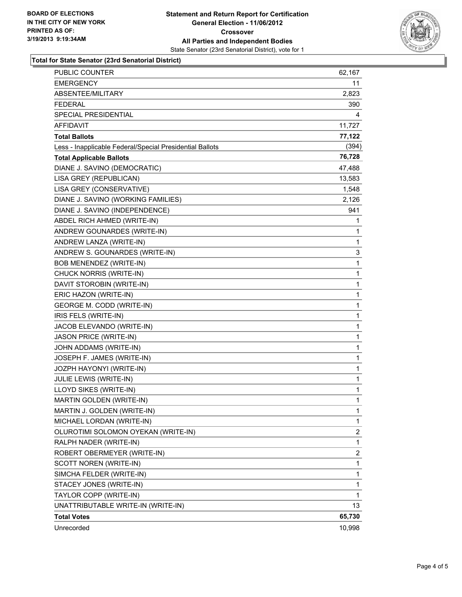

#### **Total for State Senator (23rd Senatorial District)**

| PUBLIC COUNTER                                           | 62,167       |
|----------------------------------------------------------|--------------|
| <b>EMERGENCY</b>                                         | 11           |
| ABSENTEE/MILITARY                                        | 2,823        |
| <b>FEDERAL</b>                                           | 390          |
| SPECIAL PRESIDENTIAL                                     | 4            |
| AFFIDAVIT                                                | 11,727       |
| <b>Total Ballots</b>                                     | 77,122       |
| Less - Inapplicable Federal/Special Presidential Ballots | (394)        |
| <b>Total Applicable Ballots</b>                          | 76,728       |
| DIANE J. SAVINO (DEMOCRATIC)                             | 47,488       |
| LISA GREY (REPUBLICAN)                                   | 13,583       |
| LISA GREY (CONSERVATIVE)                                 | 1,548        |
| DIANE J. SAVINO (WORKING FAMILIES)                       | 2,126        |
| DIANE J. SAVINO (INDEPENDENCE)                           | 941          |
| ABDEL RICH AHMED (WRITE-IN)                              | 1            |
| ANDREW GOUNARDES (WRITE-IN)                              | 1            |
| ANDREW LANZA (WRITE-IN)                                  | 1            |
| ANDREW S. GOUNARDES (WRITE-IN)                           | 3            |
| BOB MENENDEZ (WRITE-IN)                                  | 1            |
| CHUCK NORRIS (WRITE-IN)                                  | 1            |
| DAVIT STOROBIN (WRITE-IN)                                | 1            |
| ERIC HAZON (WRITE-IN)                                    | 1            |
| <b>GEORGE M. CODD (WRITE-IN)</b>                         | 1            |
| IRIS FELS (WRITE-IN)                                     | 1            |
| JACOB ELEVANDO (WRITE-IN)                                | 1            |
| JASON PRICE (WRITE-IN)                                   | 1            |
| JOHN ADDAMS (WRITE-IN)                                   | 1            |
| JOSEPH F. JAMES (WRITE-IN)                               | 1            |
| JOZPH HAYONYI (WRITE-IN)                                 | 1            |
| JULIE LEWIS (WRITE-IN)                                   | 1            |
| LLOYD SIKES (WRITE-IN)                                   | 1            |
| MARTIN GOLDEN (WRITE-IN)                                 | $\mathbf{1}$ |
| MARTIN J. GOLDEN (WRITE-IN)                              | 1            |
| MICHAEL LORDAN (WRITE-IN)                                | 1            |
| OLUROTIMI SOLOMON OYEKAN (WRITE-IN)                      | 2            |
| RALPH NADER (WRITE-IN)                                   | 1            |
| ROBERT OBERMEYER (WRITE-IN)                              | 2            |
| SCOTT NOREN (WRITE-IN)                                   | 1            |
| SIMCHA FELDER (WRITE-IN)                                 | 1            |
| STACEY JONES (WRITE-IN)                                  | 1            |
| TAYLOR COPP (WRITE-IN)                                   | 1            |
| UNATTRIBUTABLE WRITE-IN (WRITE-IN)                       | 13           |
| <b>Total Votes</b>                                       | 65,730       |
| Unrecorded                                               | 10,998       |